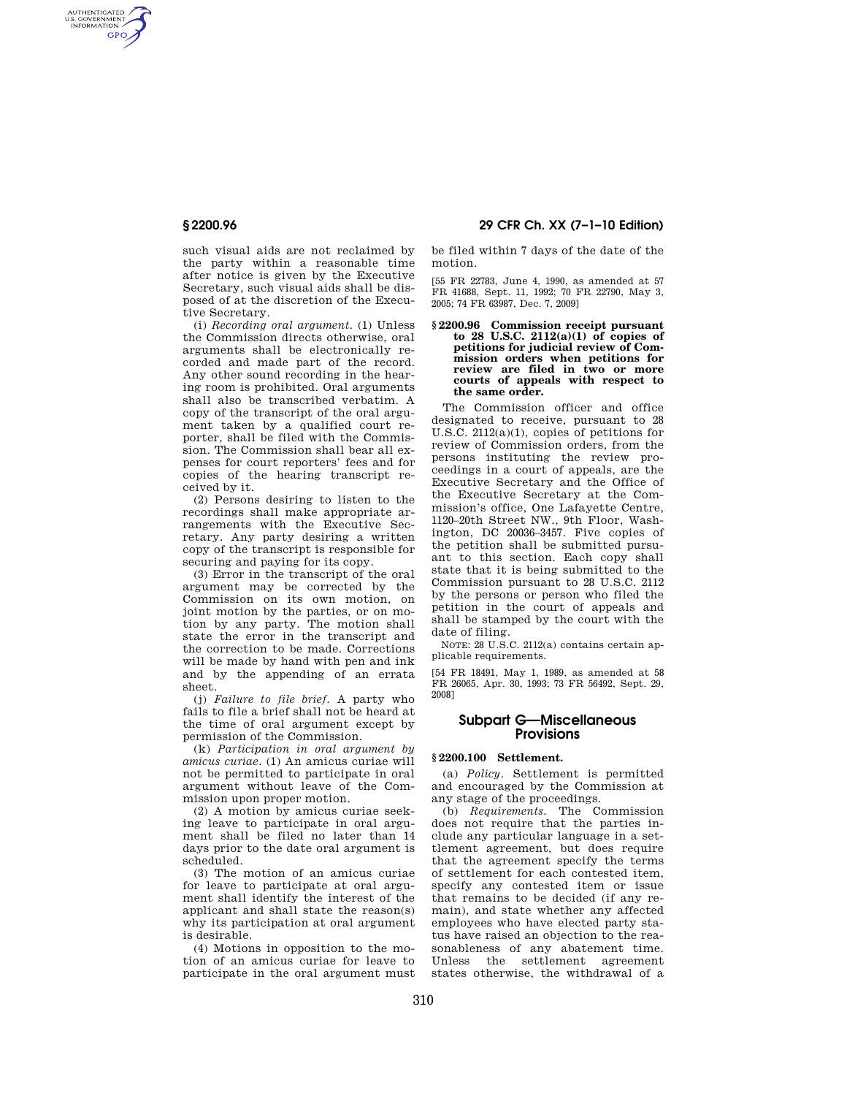AUTHENTICATED<br>U.S. GOVERNMENT<br>INFORMATION **GPO** 

> such visual aids are not reclaimed by the party within a reasonable time after notice is given by the Executive Secretary, such visual aids shall be disposed of at the discretion of the Executive Secretary.

> (i) *Recording oral argument.* (1) Unless the Commission directs otherwise, oral arguments shall be electronically recorded and made part of the record. Any other sound recording in the hearing room is prohibited. Oral arguments shall also be transcribed verbatim. A copy of the transcript of the oral argument taken by a qualified court reporter, shall be filed with the Commission. The Commission shall bear all expenses for court reporters' fees and for copies of the hearing transcript received by it.

> (2) Persons desiring to listen to the recordings shall make appropriate arrangements with the Executive Secretary. Any party desiring a written copy of the transcript is responsible for securing and paying for its copy.

> (3) Error in the transcript of the oral argument may be corrected by the Commission on its own motion, on joint motion by the parties, or on motion by any party. The motion shall state the error in the transcript and the correction to be made. Corrections will be made by hand with pen and ink and by the appending of an errata sheet.

> (j) *Failure to file brief.* A party who fails to file a brief shall not be heard at the time of oral argument except by permission of the Commission.

> (k) *Participation in oral argument by amicus curiae.* (1) An amicus curiae will not be permitted to participate in oral argument without leave of the Commission upon proper motion.

> (2) A motion by amicus curiae seeking leave to participate in oral argument shall be filed no later than 14 days prior to the date oral argument is scheduled.

> (3) The motion of an amicus curiae for leave to participate at oral argument shall identify the interest of the applicant and shall state the reason(s) why its participation at oral argument is desirable.

> (4) Motions in opposition to the motion of an amicus curiae for leave to participate in the oral argument must

**§ 2200.96 29 CFR Ch. XX (7–1–10 Edition)** 

be filed within 7 days of the date of the motion.

[55 FR 22783, June 4, 1990, as amended at 57 FR 41688, Sept. 11, 1992; 70 FR 22790, May 3, 2005; 74 FR 63987, Dec. 7, 2009]

#### **§ 2200.96 Commission receipt pursuant to 28 U.S.C. 2112(a)(1) of copies of petitions for judicial review of Commission orders when petitions for review are filed in two or more courts of appeals with respect to the same order.**

The Commission officer and office designated to receive, pursuant to 28 U.S.C. 2112(a)(1), copies of petitions for review of Commission orders, from the persons instituting the review proceedings in a court of appeals, are the Executive Secretary and the Office of the Executive Secretary at the Commission's office, One Lafayette Centre, 1120–20th Street NW., 9th Floor, Washington, DC 20036–3457. Five copies of the petition shall be submitted pursuant to this section. Each copy shall state that it is being submitted to the Commission pursuant to 28 U.S.C. 2112 by the persons or person who filed the petition in the court of appeals and shall be stamped by the court with the date of filing.

NOTE: 28 U.S.C. 2112(a) contains certain applicable requirements.

[54 FR 18491, May 1, 1989, as amended at 58 FR 26065, Apr. 30, 1993; 73 FR 56492, Sept. 29, 2008]

# **Subpart G—Miscellaneous Provisions**

## **§ 2200.100 Settlement.**

(a) *Policy.* Settlement is permitted and encouraged by the Commission at any stage of the proceedings.

(b) *Requirements.* The Commission does not require that the parties include any particular language in a settlement agreement, but does require that the agreement specify the terms of settlement for each contested item, specify any contested item or issue that remains to be decided (if any remain), and state whether any affected employees who have elected party status have raised an objection to the reasonableness of any abatement time. Unless the settlement agreement states otherwise, the withdrawal of a